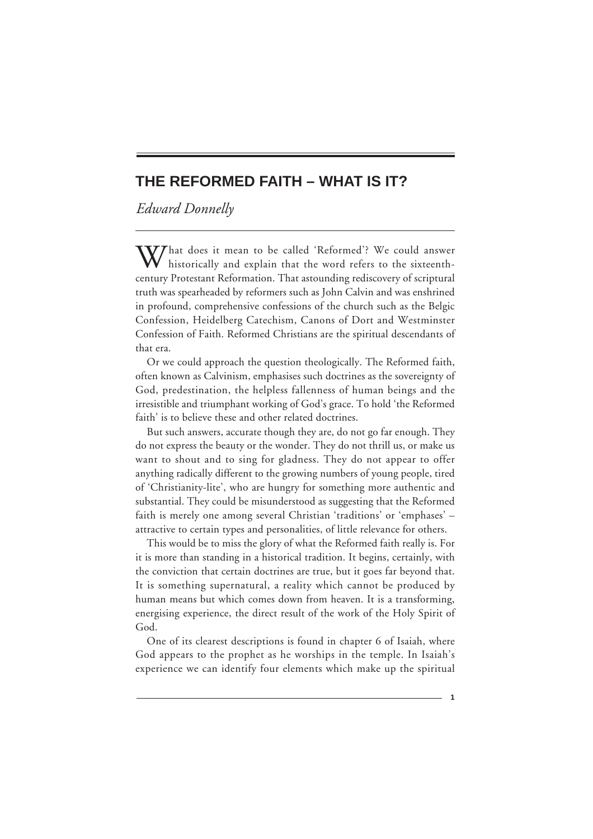# **THE REFORMED FAITH – WHAT IS IT?**

*Edward Donnelly*

**The Reformed Faith – What Is It?**

What does it mean to be called 'Reformed'? We could answer<br>historically and explain that the word refers to the sixteenthcentury Protestant Reformation. That astounding rediscovery of scriptural truth was spearheaded by reformers such as John Calvin and was enshrined in profound, comprehensive confessions of the church such as the Belgic Confession, Heidelberg Catechism, Canons of Dort and Westminster Confession of Faith. Reformed Christians are the spiritual descendants of that era.

Or we could approach the question theologically. The Reformed faith, often known as Calvinism, emphasises such doctrines as the sovereignty of God, predestination, the helpless fallenness of human beings and the irresistible and triumphant working of God's grace. To hold 'the Reformed faith' is to believe these and other related doctrines.

But such answers, accurate though they are, do not go far enough. They do not express the beauty or the wonder. They do not thrill us, or make us want to shout and to sing for gladness. They do not appear to offer anything radically different to the growing numbers of young people, tired of 'Christianity-lite', who are hungry for something more authentic and substantial. They could be misunderstood as suggesting that the Reformed faith is merely one among several Christian 'traditions' or 'emphases' – attractive to certain types and personalities, of little relevance for others.

This would be to miss the glory of what the Reformed faith really is. For it is more than standing in a historical tradition. It begins, certainly, with the conviction that certain doctrines are true, but it goes far beyond that. It is something supernatural, a reality which cannot be produced by human means but which comes down from heaven. It is a transforming, energising experience, the direct result of the work of the Holy Spirit of God.

One of its clearest descriptions is found in chapter 6 of Isaiah, where God appears to the prophet as he worships in the temple. In Isaiah's experience we can identify four elements which make up the spiritual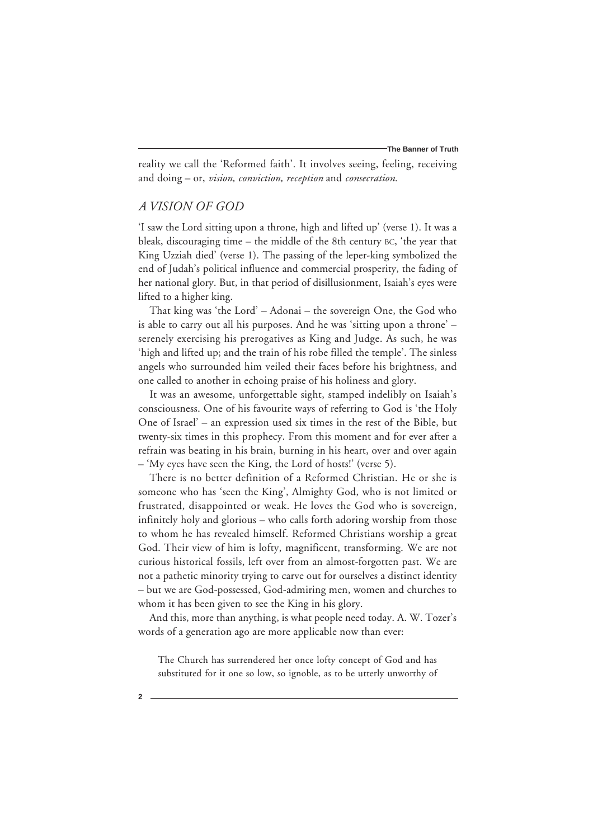reality we call the 'Reformed faith'. It involves seeing, feeling, receiving and doing – or, *vision, conviction, reception* and *consecration*.

### *A VISION OF GOD*

'I saw the Lord sitting upon a throne, high and lifted up' (verse 1). It was a bleak, discouraging time – the middle of the 8th century BC, 'the year that King Uzziah died' (verse 1). The passing of the leper-king symbolized the end of Judah's political influence and commercial prosperity, the fading of her national glory. But, in that period of disillusionment, Isaiah's eyes were lifted to a higher king.

That king was 'the Lord' – Adonai – the sovereign One, the God who is able to carry out all his purposes. And he was 'sitting upon a throne' – serenely exercising his prerogatives as King and Judge. As such, he was 'high and lifted up; and the train of his robe filled the temple'. The sinless angels who surrounded him veiled their faces before his brightness, and one called to another in echoing praise of his holiness and glory.

It was an awesome, unforgettable sight, stamped indelibly on Isaiah's consciousness. One of his favourite ways of referring to God is 'the Holy One of Israel' – an expression used six times in the rest of the Bible, but twenty-six times in this prophecy. From this moment and for ever after a refrain was beating in his brain, burning in his heart, over and over again – 'My eyes have seen the King, the Lord of hosts!' (verse 5).

There is no better definition of a Reformed Christian. He or she is someone who has 'seen the King', Almighty God, who is not limited or frustrated, disappointed or weak. He loves the God who is sovereign, infinitely holy and glorious – who calls forth adoring worship from those to whom he has revealed himself. Reformed Christians worship a great God. Their view of him is lofty, magnificent, transforming. We are not curious historical fossils, left over from an almost-forgotten past. We are not a pathetic minority trying to carve out for ourselves a distinct identity – but we are God-possessed, God-admiring men, women and churches to whom it has been given to see the King in his glory.

And this, more than anything, is what people need today. A. W. Tozer's words of a generation ago are more applicable now than ever:

The Church has surrendered her once lofty concept of God and has substituted for it one so low, so ignoble, as to be utterly unworthy of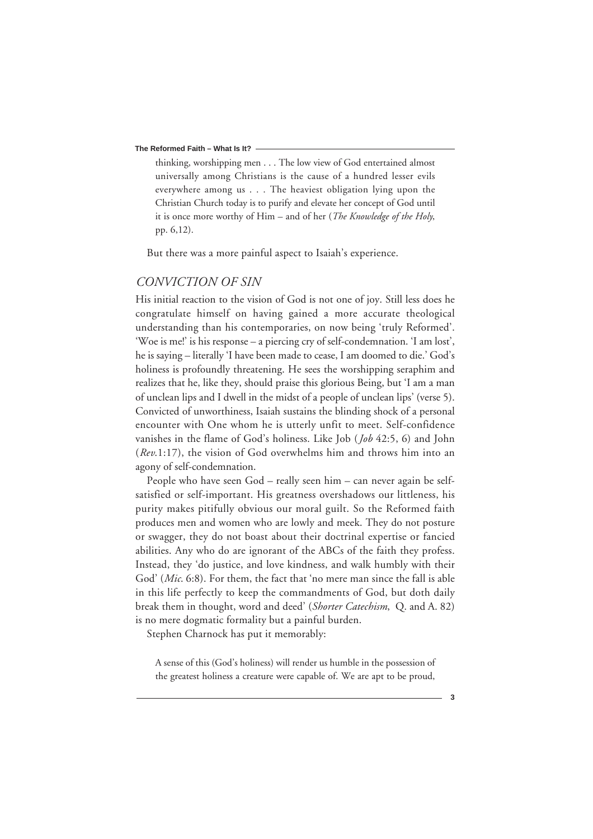#### **The Reformed Faith – What Is It?**

thinking, worshipping men . . . The low view of God entertained almost universally among Christians is the cause of a hundred lesser evils everywhere among us . . . The heaviest obligation lying upon the Christian Church today is to purify and elevate her concept of God until it is once more worthy of Him – and of her (*The Knowledge of the Holy*, pp. 6,12).

But there was a more painful aspect to Isaiah's experience.

# *CONVICTION OF SIN*

His initial reaction to the vision of God is not one of joy. Still less does he congratulate himself on having gained a more accurate theological understanding than his contemporaries, on now being 'truly Reformed'. 'Woe is me!' is his response – a piercing cry of self-condemnation. 'I am lost', he is saying – literally 'I have been made to cease, I am doomed to die.' God's holiness is profoundly threatening. He sees the worshipping seraphim and realizes that he, like they, should praise this glorious Being, but 'I am a man of unclean lips and I dwell in the midst of a people of unclean lips' (verse 5). Convicted of unworthiness, Isaiah sustains the blinding shock of a personal encounter with One whom he is utterly unfit to meet. Self-confidence vanishes in the flame of God's holiness. Like Job (*Job* 42:5, 6) and John (*Rev*.1:17), the vision of God overwhelms him and throws him into an agony of self-condemnation.

People who have seen God – really seen him – can never again be selfsatisfied or self-important. His greatness overshadows our littleness, his purity makes pitifully obvious our moral guilt. So the Reformed faith produces men and women who are lowly and meek. They do not posture or swagger, they do not boast about their doctrinal expertise or fancied abilities. Any who do are ignorant of the ABCs of the faith they profess. Instead, they 'do justice, and love kindness, and walk humbly with their God' (*Mic*. 6:8). For them, the fact that 'no mere man since the fall is able in this life perfectly to keep the commandments of God, but doth daily break them in thought, word and deed' (*Shorter Catechism*, Q. and A. 82) is no mere dogmatic formality but a painful burden.

Stephen Charnock has put it memorably:

A sense of this (God's holiness) will render us humble in the possession of the greatest holiness a creature were capable of. We are apt to be proud,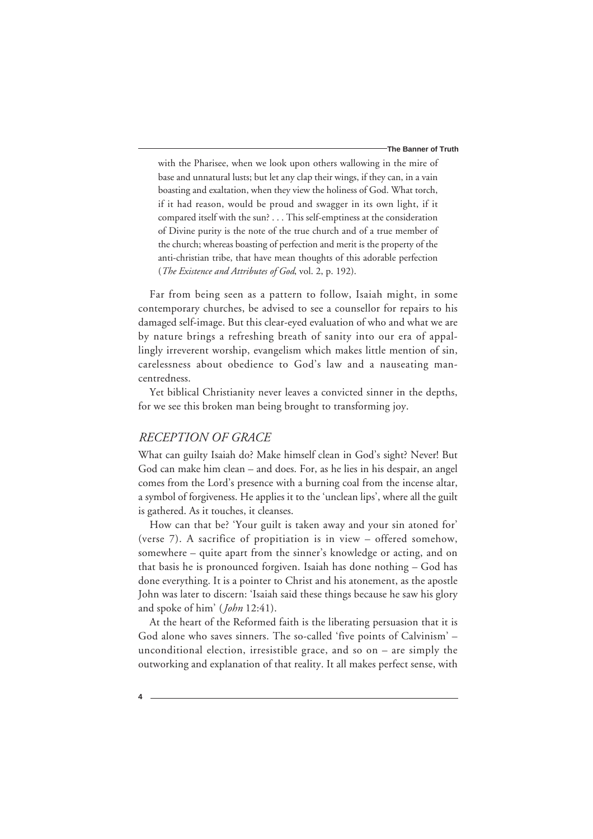#### **The Banner of Truth**

with the Pharisee, when we look upon others wallowing in the mire of base and unnatural lusts; but let any clap their wings, if they can, in a vain boasting and exaltation, when they view the holiness of God. What torch, if it had reason, would be proud and swagger in its own light, if it compared itself with the sun? . . . This self-emptiness at the consideration of Divine purity is the note of the true church and of a true member of the church; whereas boasting of perfection and merit is the property of the anti-christian tribe, that have mean thoughts of this adorable perfection (*The Existence and Attributes of God*, vol. 2, p. 192).

Far from being seen as a pattern to follow, Isaiah might, in some contemporary churches, be advised to see a counsellor for repairs to his damaged self-image. But this clear-eyed evaluation of who and what we are by nature brings a refreshing breath of sanity into our era of appallingly irreverent worship, evangelism which makes little mention of sin, carelessness about obedience to God's law and a nauseating mancentredness.

Yet biblical Christianity never leaves a convicted sinner in the depths, for we see this broken man being brought to transforming joy.

### *RECEPTION OF GRACE*

What can guilty Isaiah do? Make himself clean in God's sight? Never! But God can make him clean – and does. For, as he lies in his despair, an angel comes from the Lord's presence with a burning coal from the incense altar, a symbol of forgiveness. He applies it to the 'unclean lips', where all the guilt is gathered. As it touches, it cleanses.

How can that be? 'Your guilt is taken away and your sin atoned for' (verse 7). A sacrifice of propitiation is in view – offered somehow, somewhere – quite apart from the sinner's knowledge or acting, and on that basis he is pronounced forgiven. Isaiah has done nothing – God has done everything. It is a pointer to Christ and his atonement, as the apostle John was later to discern: 'Isaiah said these things because he saw his glory and spoke of him' (*John* 12:41).

At the heart of the Reformed faith is the liberating persuasion that it is God alone who saves sinners. The so-called 'five points of Calvinism' – unconditional election, irresistible grace, and so on – are simply the outworking and explanation of that reality. It all makes perfect sense, with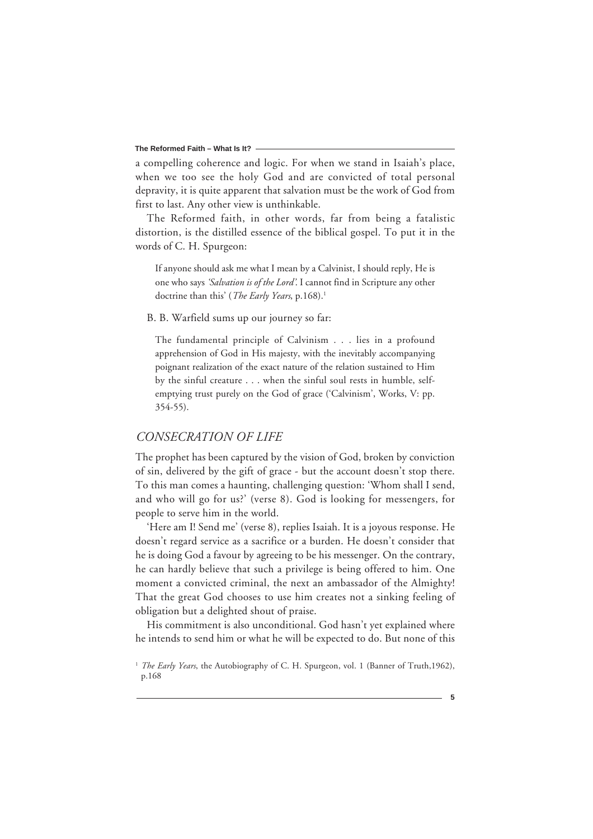#### **The Reformed Faith – What Is It?**

a compelling coherence and logic. For when we stand in Isaiah's place, when we too see the holy God and are convicted of total personal depravity, it is quite apparent that salvation must be the work of God from first to last. Any other view is unthinkable.

The Reformed faith, in other words, far from being a fatalistic distortion, is the distilled essence of the biblical gospel. To put it in the words of C. H. Spurgeon:

If anyone should ask me what I mean by a Calvinist, I should reply, He is one who says *'Salvation is of the Lord'*. I cannot find in Scripture any other doctrine than this' (*The Early Years*, p.168).<sup>1</sup>

#### B. B. Warfield sums up our journey so far:

The fundamental principle of Calvinism . . . lies in a profound apprehension of God in His majesty, with the inevitably accompanying poignant realization of the exact nature of the relation sustained to Him by the sinful creature . . . when the sinful soul rests in humble, selfemptying trust purely on the God of grace ('Calvinism', Works, V: pp. 354-55).

## *CONSECRATION OF LIFE*

The prophet has been captured by the vision of God, broken by conviction of sin, delivered by the gift of grace - but the account doesn't stop there. To this man comes a haunting, challenging question: 'Whom shall I send, and who will go for us?' (verse 8). God is looking for messengers, for people to serve him in the world.

'Here am I! Send me' (verse 8), replies Isaiah. It is a joyous response. He doesn't regard service as a sacrifice or a burden. He doesn't consider that he is doing God a favour by agreeing to be his messenger. On the contrary, he can hardly believe that such a privilege is being offered to him. One moment a convicted criminal, the next an ambassador of the Almighty! That the great God chooses to use him creates not a sinking feeling of obligation but a delighted shout of praise.

His commitment is also unconditional. God hasn't yet explained where he intends to send him or what he will be expected to do. But none of this

<sup>&</sup>lt;sup>1</sup> *The Early Years*, the Autobiography of C. H. Spurgeon, vol. 1 (Banner of Truth, 1962), p.168